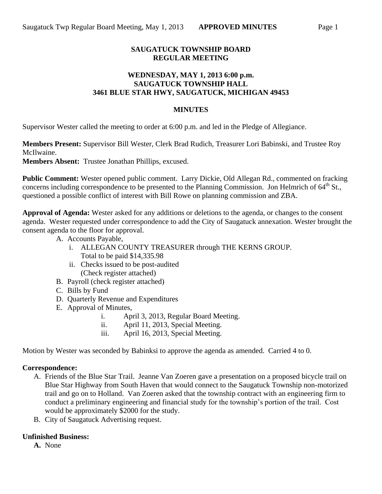## **SAUGATUCK TOWNSHIP BOARD REGULAR MEETING**

### **WEDNESDAY, MAY 1, 2013 6:00 p.m. SAUGATUCK TOWNSHIP HALL 3461 BLUE STAR HWY, SAUGATUCK, MICHIGAN 49453**

#### **MINUTES**

Supervisor Wester called the meeting to order at 6:00 p.m. and led in the Pledge of Allegiance.

**Members Present:** Supervisor Bill Wester, Clerk Brad Rudich, Treasurer Lori Babinski, and Trustee Roy McIlwaine.

**Members Absent:** Trustee Jonathan Phillips, excused.

**Public Comment:** Wester opened public comment. Larry Dickie, Old Allegan Rd., commented on fracking concerns including correspondence to be presented to the Planning Commission. Jon Helmrich of 64<sup>th</sup> St., questioned a possible conflict of interest with Bill Rowe on planning commission and ZBA.

**Approval of Agenda:** Wester asked for any additions or deletions to the agenda, or changes to the consent agenda. Wester requested under correspondence to add the City of Saugatuck annexation. Wester brought the consent agenda to the floor for approval.

- A. Accounts Payable,
	- i. ALLEGAN COUNTY TREASURER through THE KERNS GROUP. Total to be paid \$14,335.98
	- ii. Checks issued to be post-audited (Check register attached)
- B. Payroll (check register attached)
- C. Bills by Fund
- D. Quarterly Revenue and Expenditures
- E. Approval of Minutes,
	- i. April 3, 2013, Regular Board Meeting.
	- ii. April 11, 2013, Special Meeting.
	- iii. April 16, 2013, Special Meeting.

Motion by Wester was seconded by Babinksi to approve the agenda as amended. Carried 4 to 0.

#### **Correspondence:**

- A. Friends of the Blue Star Trail. Jeanne Van Zoeren gave a presentation on a proposed bicycle trail on Blue Star Highway from South Haven that would connect to the Saugatuck Township non-motorized trail and go on to Holland. Van Zoeren asked that the township contract with an engineering firm to conduct a preliminary engineering and financial study for the township's portion of the trail. Cost would be approximately \$2000 for the study.
- B. City of Saugatuck Advertising request.

#### **Unfinished Business:**

**A.** None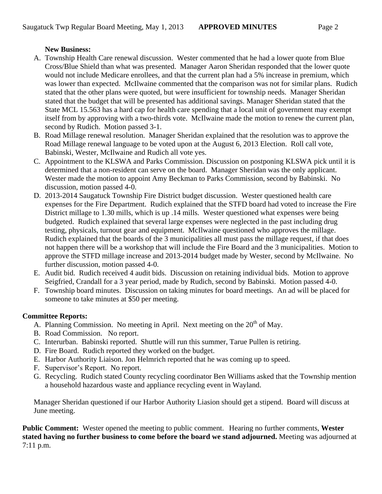# **New Business:**

- A. Township Health Care renewal discussion. Wester commented that he had a lower quote from Blue Cross/Blue Shield than what was presented. Manager Aaron Sheridan responded that the lower quote would not include Medicare enrollees, and that the current plan had a 5% increase in premium, which was lower than expected. McIlwaine commented that the comparison was not for similar plans. Rudich stated that the other plans were quoted, but were insufficient for township needs. Manager Sheridan stated that the budget that will be presented has additional savings. Manager Sheridan stated that the State MCL 15.563 has a hard cap for health care spending that a local unit of government may exempt itself from by approving with a two-thirds vote. McIlwaine made the motion to renew the current plan, second by Rudich. Motion passed 3-1.
- B. Road Millage renewal resolution. Manager Sheridan explained that the resolution was to approve the Road Millage renewal language to be voted upon at the August 6, 2013 Election. Roll call vote, Babinski, Wester, McIlwaine and Rudich all vote yes.
- C. Appointment to the KLSWA and Parks Commission. Discussion on postponing KLSWA pick until it is determined that a non-resident can serve on the board. Manager Sheridan was the only applicant. Wester made the motion to appoint Amy Beckman to Parks Commission, second by Babinski. No discussion, motion passed 4-0.
- D. 2013-2014 Saugatuck Township Fire District budget discussion. Wester questioned health care expenses for the Fire Department. Rudich explained that the STFD board had voted to increase the Fire District millage to 1.30 mills, which is up .14 mills. Wester questioned what expenses were being budgeted. Rudich explained that several large expenses were neglected in the past including drug testing, physicals, turnout gear and equipment. McIlwaine questioned who approves the millage. Rudich explained that the boards of the 3 municipalities all must pass the millage request, if that does not happen there will be a workshop that will include the Fire Board and the 3 municipalities. Motion to approve the STFD millage increase and 2013-2014 budget made by Wester, second by McIlwaine. No further discussion, motion passed 4-0.
- E. Audit bid. Rudich received 4 audit bids. Discussion on retaining individual bids. Motion to approve Seigfried, Crandall for a 3 year period, made by Rudich, second by Babinski. Motion passed 4-0.
- F. Township board minutes. Discussion on taking minutes for board meetings. An ad will be placed for someone to take minutes at \$50 per meeting.

# **Committee Reports:**

- A. Planning Commission. No meeting in April. Next meeting on the  $20<sup>th</sup>$  of May.
- B. Road Commission. No report.
- C. Interurban. Babinski reported. Shuttle will run this summer, Tarue Pullen is retiring.
- D. Fire Board. Rudich reported they worked on the budget.
- E. Harbor Authority Liaison. Jon Helmrich reported that he was coming up to speed.
- F. Supervisor's Report. No report.
- G. Recycling. Rudich stated County recycling coordinator Ben Williams asked that the Township mention a household hazardous waste and appliance recycling event in Wayland.

Manager Sheridan questioned if our Harbor Authority Liasion should get a stipend. Board will discuss at June meeting.

**Public Comment:** Wester opened the meeting to public comment. Hearing no further comments, **Wester stated having no further business to come before the board we stand adjourned.** Meeting was adjourned at 7:11 p.m.